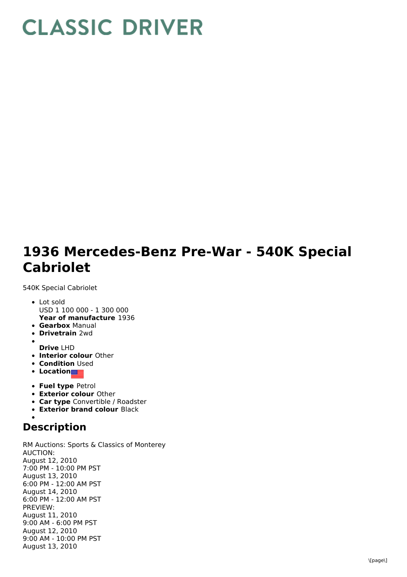## **CLASSIC DRIVER**

## **1936 Mercedes-Benz Pre-War - 540K Special Cabriolet**

540K Special Cabriolet

- **Year of manufacture** 1936 Lot sold USD 1 100 000 - 1 300 000
- **Gearbox** Manual
- **Drivetrain** 2wd
- **Drive** LHD
- **Interior colour** Other
- **Condition Used**
- **Location**
- **Fuel type** Petrol
- **Exterior colour** Other
- **Car type** Convertible / Roadster
- **Exterior brand colour** Black

## **Description**

RM Auctions: Sports & Classics of Monterey AUCTION: August 12, 2010 7:00 PM - 10:00 PM PST August 13, 2010 6:00 PM - 12:00 AM PST August 14, 2010 6:00 PM - 12:00 AM PST PREVIEW: August 11, 2010 9:00 AM - 6:00 PM PST August 12, 2010 9:00 AM - 10:00 PM PST August 13, 2010